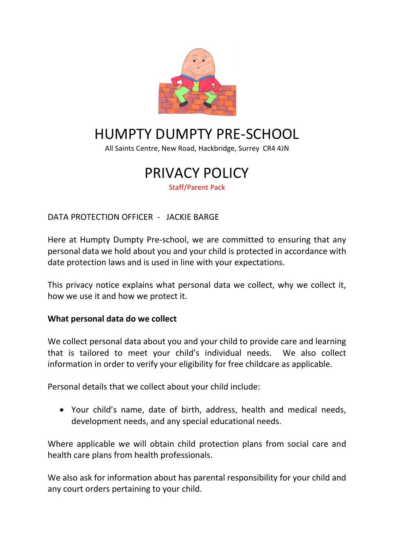

# HUMPTY DUMPTY PRE-SCHOOL

All Saints Centre, New Road, Hackbridge, Surrey CR4 4JN

## PRIVACY POLICY Staff/Parent Pack

DATA PROTECTION OFFICER - JACKIE BARGE

Here at Humpty Dumpty Pre-school, we are committed to ensuring that any personal data we hold about you and your child is protected in accordance with date protection laws and is used in line with your expectations.

This privacy notice explains what personal data we collect, why we collect it, how we use it and how we protect it.

#### **What personal data do we collect**

We collect personal data about you and your child to provide care and learning that is tailored to meet your child's individual needs. We also collect information in order to verify your eligibility for free childcare as applicable.

Personal details that we collect about your child include:

 Your child's name, date of birth, address, health and medical needs, development needs, and any special educational needs.

Where applicable we will obtain child protection plans from social care and health care plans from health professionals.

We also ask for information about has parental responsibility for your child and any court orders pertaining to your child.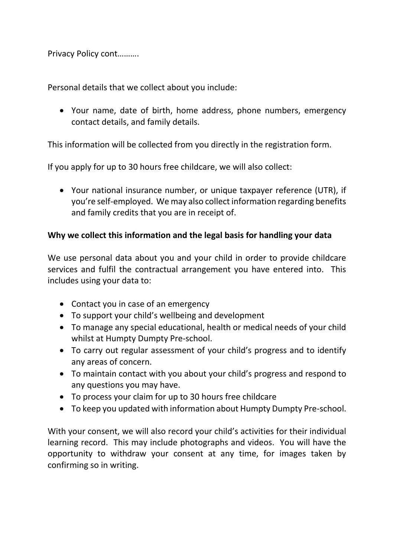Privacy Policy cont……….

Personal details that we collect about you include:

 Your name, date of birth, home address, phone numbers, emergency contact details, and family details.

This information will be collected from you directly in the registration form.

If you apply for up to 30 hours free childcare, we will also collect:

 Your national insurance number, or unique taxpayer reference (UTR), if you're self-employed. We may also collect information regarding benefits and family credits that you are in receipt of.

#### **Why we collect this information and the legal basis for handling your data**

We use personal data about you and your child in order to provide childcare services and fulfil the contractual arrangement you have entered into. This includes using your data to:

- Contact you in case of an emergency
- To support your child's wellbeing and development
- To manage any special educational, health or medical needs of your child whilst at Humpty Dumpty Pre-school.
- To carry out regular assessment of your child's progress and to identify any areas of concern.
- To maintain contact with you about your child's progress and respond to any questions you may have.
- To process your claim for up to 30 hours free childcare
- To keep you updated with information about Humpty Dumpty Pre-school.

With your consent, we will also record your child's activities for their individual learning record. This may include photographs and videos. You will have the opportunity to withdraw your consent at any time, for images taken by confirming so in writing.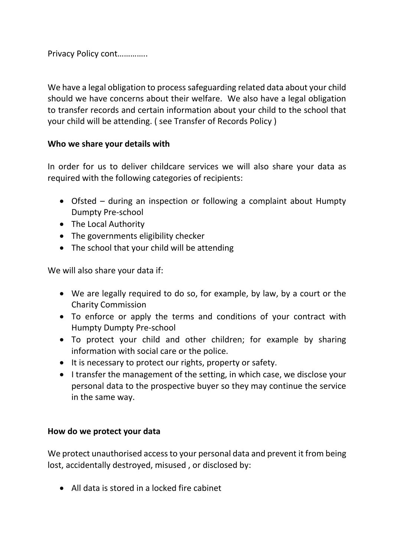Privacy Policy cont…………..

We have a legal obligation to process safeguarding related data about your child should we have concerns about their welfare. We also have a legal obligation to transfer records and certain information about your child to the school that your child will be attending. ( see Transfer of Records Policy )

#### **Who we share your details with**

In order for us to deliver childcare services we will also share your data as required with the following categories of recipients:

- Ofsted during an inspection or following a complaint about Humpty Dumpty Pre-school
- The Local Authority
- The governments eligibility checker
- The school that your child will be attending

We will also share your data if:

- We are legally required to do so, for example, by law, by a court or the Charity Commission
- To enforce or apply the terms and conditions of your contract with Humpty Dumpty Pre-school
- To protect your child and other children; for example by sharing information with social care or the police.
- It is necessary to protect our rights, property or safety.
- I transfer the management of the setting, in which case, we disclose your personal data to the prospective buyer so they may continue the service in the same way.

#### **How do we protect your data**

We protect unauthorised access to your personal data and prevent it from being lost, accidentally destroyed, misused , or disclosed by:

All data is stored in a locked fire cabinet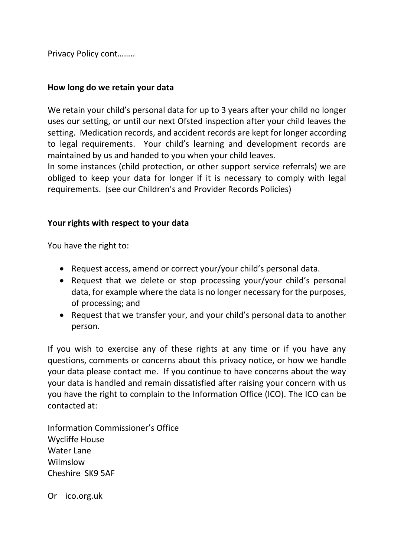Privacy Policy cont……..

#### **How long do we retain your data**

We retain your child's personal data for up to 3 years after your child no longer uses our setting, or until our next Ofsted inspection after your child leaves the setting. Medication records, and accident records are kept for longer according to legal requirements. Your child's learning and development records are maintained by us and handed to you when your child leaves.

In some instances (child protection, or other support service referrals) we are obliged to keep your data for longer if it is necessary to comply with legal requirements. (see our Children's and Provider Records Policies)

#### **Your rights with respect to your data**

You have the right to:

- Request access, amend or correct your/your child's personal data.
- Request that we delete or stop processing your/your child's personal data, for example where the data is no longer necessary for the purposes, of processing; and
- Request that we transfer your, and your child's personal data to another person.

If you wish to exercise any of these rights at any time or if you have any questions, comments or concerns about this privacy notice, or how we handle your data please contact me. If you continue to have concerns about the way your data is handled and remain dissatisfied after raising your concern with us you have the right to complain to the Information Office (ICO). The ICO can be contacted at:

Information Commissioner's Office Wycliffe House Water Lane Wilmslow Cheshire SK9 5AF

Or ico.org.uk